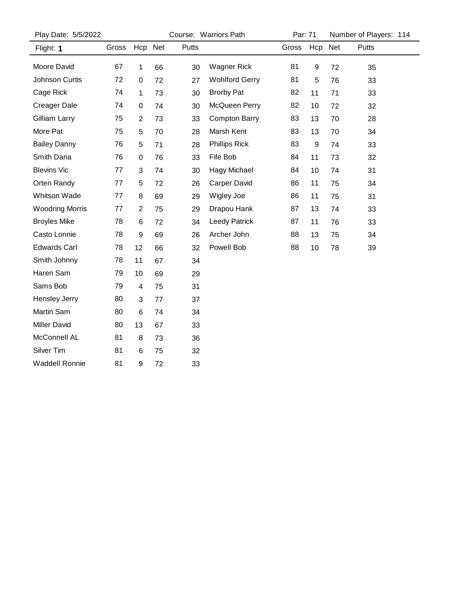| Play Date: 5/5/2022    |       |                         |         |       | Course: Warriors Path |       | Par: 71 |         | Number of Players: 114 |  |  |
|------------------------|-------|-------------------------|---------|-------|-----------------------|-------|---------|---------|------------------------|--|--|
| Flight: 1              | Gross |                         | Hcp Net | Putts |                       | Gross |         | Hcp Net | Putts                  |  |  |
| Moore David            | 67    | $\mathbf 1$             | 66      | 30    | <b>Wagner Rick</b>    | 81    | 9       | 72      | 35                     |  |  |
| Johnson Curtis         | 72    | $\pmb{0}$               | 72      | 27    | <b>Wohlford Gerry</b> | 81    | 5       | 76      | 33                     |  |  |
| Cage Rick              | 74    | 1                       | 73      | 30    | <b>Brorby Pat</b>     | 82    | 11      | 71      | 33                     |  |  |
| <b>Creager Dale</b>    | 74    | $\pmb{0}$               | 74      | 30    | McQueen Perry         | 82    | 10      | 72      | 32                     |  |  |
| Gilliam Larry          | 75    | $\overline{2}$          | 73      | 33    | <b>Compton Barry</b>  | 83    | 13      | 70      | 28                     |  |  |
| More Pat               | 75    | 5                       | 70      | 28    | Marsh Kent            | 83    | 13      | 70      | 34                     |  |  |
| <b>Bailey Danny</b>    | 76    | 5                       | 71      | 28    | Phillips Rick         | 83    | 9       | 74      | 33                     |  |  |
| Smith Dana             | 76    | 0                       | 76      | 33    | Fife Bob              | 84    | 11      | 73      | 32                     |  |  |
| <b>Blevins Vic</b>     | 77    | 3                       | 74      | 30    | <b>Hagy Michael</b>   | 84    | 10      | 74      | 31                     |  |  |
| Orten Randy            | 77    | 5                       | 72      | 26    | <b>Carper David</b>   | 86    | 11      | 75      | 34                     |  |  |
| <b>Whitson Wade</b>    | 77    | $\bf 8$                 | 69      | 29    | Wigley Joe            | 86    | 11      | 75      | 31                     |  |  |
| <b>Woodring Morris</b> | 77    | $\overline{2}$          | 75      | 29    | Drapou Hank           | 87    | 13      | 74      | 33                     |  |  |
| <b>Broyles Mike</b>    | 78    | 6                       | 72      | 34    | <b>Leedy Patrick</b>  | 87    | 11      | 76      | 33                     |  |  |
| Casto Lonnie           | 78    | 9                       | 69      | 26    | Archer John           | 88    | 13      | 75      | 34                     |  |  |
| <b>Edwards Carl</b>    | 78    | 12                      | 66      | 32    | Powell Bob            | 88    | 10      | 78      | 39                     |  |  |
| Smith Johnny           | 78    | 11                      | 67      | 34    |                       |       |         |         |                        |  |  |
| Haren Sam              | 79    | 10                      | 69      | 29    |                       |       |         |         |                        |  |  |
| Sams Bob               | 79    | $\overline{\mathbf{4}}$ | 75      | 31    |                       |       |         |         |                        |  |  |
| <b>Hensley Jerry</b>   | 80    | 3                       | 77      | 37    |                       |       |         |         |                        |  |  |
| Martin Sam             | 80    | $\,6\,$                 | 74      | 34    |                       |       |         |         |                        |  |  |
| <b>Miller David</b>    | 80    | 13                      | 67      | 33    |                       |       |         |         |                        |  |  |
| McConnell AL           | 81    | 8                       | 73      | 36    |                       |       |         |         |                        |  |  |
| Silver Tim             | 81    | 6                       | 75      | 32    |                       |       |         |         |                        |  |  |
| <b>Waddell Ronnie</b>  | 81    | 9                       | 72      | 33    |                       |       |         |         |                        |  |  |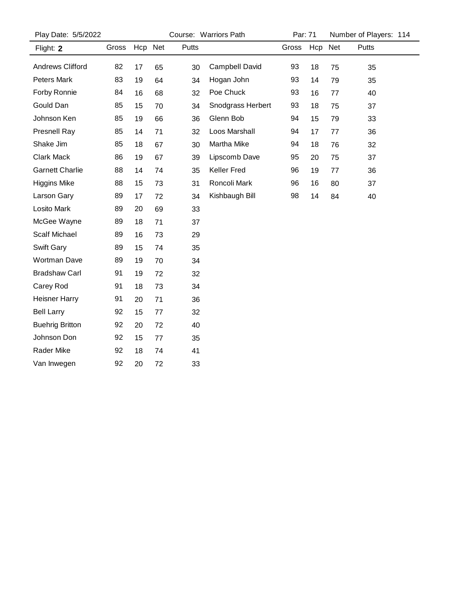| Play Date: 5/5/2022    |       |         |    | Course: Warriors Path | Par: 71           |       | Number of Players: 114 |    |       |  |
|------------------------|-------|---------|----|-----------------------|-------------------|-------|------------------------|----|-------|--|
| Flight: 2              | Gross | Hcp Net |    | Putts                 |                   | Gross | Hcp Net                |    | Putts |  |
| Andrews Clifford       | 82    | 17      | 65 | 30                    | Campbell David    | 93    | 18                     | 75 | 35    |  |
| <b>Peters Mark</b>     | 83    | 19      | 64 | 34                    | Hogan John        | 93    | 14                     | 79 | 35    |  |
| Forby Ronnie           | 84    | 16      | 68 | 32                    | Poe Chuck         | 93    | 16                     | 77 | 40    |  |
| Gould Dan              | 85    | 15      | 70 | 34                    | Snodgrass Herbert | 93    | 18                     | 75 | 37    |  |
| Johnson Ken            | 85    | 19      | 66 | 36                    | Glenn Bob         | 94    | 15                     | 79 | 33    |  |
| Presnell Ray           | 85    | 14      | 71 | 32                    | Loos Marshall     | 94    | 17                     | 77 | 36    |  |
| Shake Jim              | 85    | 18      | 67 | 30                    | Martha Mike       | 94    | 18                     | 76 | 32    |  |
| Clark Mack             | 86    | 19      | 67 | 39                    | Lipscomb Dave     | 95    | 20                     | 75 | 37    |  |
| <b>Garnett Charlie</b> | 88    | 14      | 74 | 35                    | Keller Fred       | 96    | 19                     | 77 | 36    |  |
| <b>Higgins Mike</b>    | 88    | 15      | 73 | 31                    | Roncoli Mark      | 96    | 16                     | 80 | 37    |  |
| Larson Gary            | 89    | 17      | 72 | 34                    | Kishbaugh Bill    | 98    | 14                     | 84 | 40    |  |
| Losito Mark            | 89    | 20      | 69 | 33                    |                   |       |                        |    |       |  |
| McGee Wayne            | 89    | 18      | 71 | 37                    |                   |       |                        |    |       |  |
| <b>Scalf Michael</b>   | 89    | 16      | 73 | 29                    |                   |       |                        |    |       |  |
| <b>Swift Gary</b>      | 89    | 15      | 74 | 35                    |                   |       |                        |    |       |  |
| <b>Wortman Dave</b>    | 89    | 19      | 70 | 34                    |                   |       |                        |    |       |  |
| <b>Bradshaw Carl</b>   | 91    | 19      | 72 | 32                    |                   |       |                        |    |       |  |
| Carey Rod              | 91    | 18      | 73 | 34                    |                   |       |                        |    |       |  |
| <b>Heisner Harry</b>   | 91    | 20      | 71 | 36                    |                   |       |                        |    |       |  |
| <b>Bell Larry</b>      | 92    | 15      | 77 | 32                    |                   |       |                        |    |       |  |
| <b>Buehrig Britton</b> | 92    | 20      | 72 | 40                    |                   |       |                        |    |       |  |
| Johnson Don            | 92    | 15      | 77 | 35                    |                   |       |                        |    |       |  |
| Rader Mike             | 92    | 18      | 74 | 41                    |                   |       |                        |    |       |  |
| Van Inwegen            | 92    | 20      | 72 | 33                    |                   |       |                        |    |       |  |
|                        |       |         |    |                       |                   |       |                        |    |       |  |